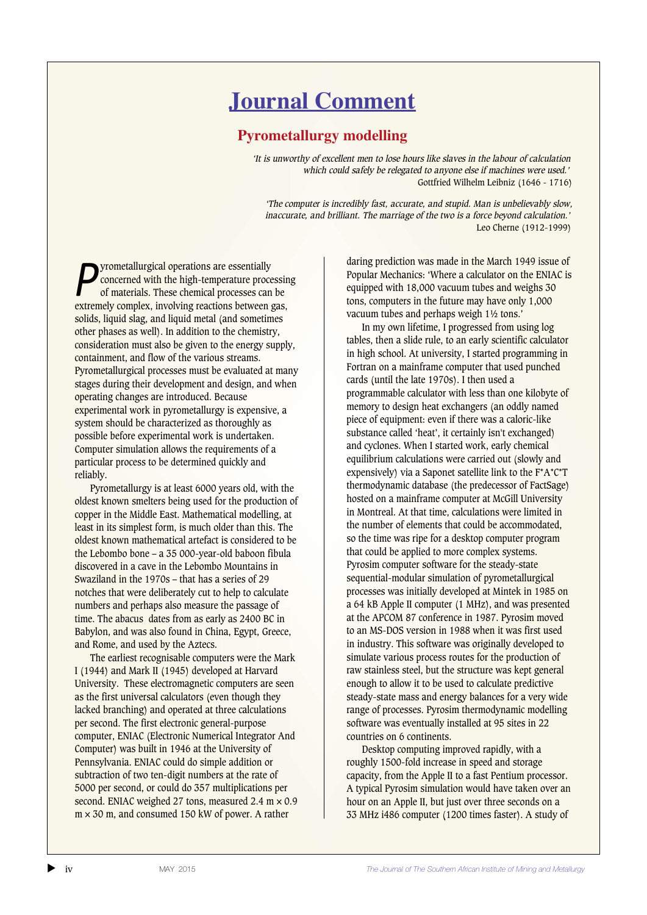## **Journal Comment**

## **Pyrometallurgy modelling**

*'*It is unworthy of excellent men to lose hours like slaves in the labour of calculation which could safely be relegated to anyone else if machines were used.' Gottfried Wilhelm Leibniz (1646 - 1716)

'The computer is incredibly fast, accurate, and stupid. Man is unbelievably slow, inaccurate, and brilliant. The marriage of the two is a force beyond calculation.' Leo Cherne (1912-1999)

**P** yrometallurgical operations are essentially concerned with the high-temperature processes can concerned with the high-temperature processing of materials. These chemical processes can be extremely complex, involving reactions between gas, solids, liquid slag, and liquid metal (and sometimes other phases as well). In addition to the chemistry, consideration must also be given to the energy supply, containment, and flow of the various streams. Pyrometallurgical processes must be evaluated at many stages during their development and design, and when operating changes are introduced. Because experimental work in pyrometallurgy is expensive, a system should be characterized as thoroughly as possible before experimental work is undertaken. Computer simulation allows the requirements of a particular process to be determined quickly and reliably.

Pyrometallurgy is at least 6000 years old, with the oldest known smelters being used for the production of copper in the Middle East. Mathematical modelling, at least in its simplest form, is much older than this. The oldest known mathematical artefact is considered to be the Lebombo bone – a 35 000-year-old baboon fibula discovered in a cave in the Lebombo Mountains in Swaziland in the 1970s – that has a series of 29 notches that were deliberately cut to help to calculate numbers and perhaps also measure the passage of time. The abacus dates from as early as 2400 BC in Babylon, and was also found in China, Egypt, Greece, and Rome, and used by the Aztecs.

The earliest recognisable computers were the Mark I (1944) and Mark II (1945) developed at Harvard University. These electromagnetic computers are seen as the first universal calculators (even though they lacked branching) and operated at three calculations per second. The first electronic general-purpose computer, ENIAC (Electronic Numerical Integrator And Computer) was built in 1946 at the University of Pennsylvania. ENIAC could do simple addition or subtraction of two ten-digit numbers at the rate of 5000 per second, or could do 357 multiplications per second. ENIAC weighed 27 tons, measured 2.4 m  $\times$  0.9  $m \times 30$  m, and consumed 150 kW of power. A rather

daring prediction was made in the March 1949 issue of Popular Mechanics: 'Where a calculator on the ENIAC is equipped with 18,000 vacuum tubes and weighs 30 tons, computers in the future may have only 1,000 vacuum tubes and perhaps weigh 1½ tons.'

In my own lifetime, I progressed from using log tables, then a slide rule, to an early scientific calculator in high school. At university, I started programming in Fortran on a mainframe computer that used punched cards (until the late 1970s). I then used a programmable calculator with less than one kilobyte of memory to design heat exchangers (an oddly named piece of equipment: even if there was a caloric-like substance called 'heat', it certainly isn't exchanged) and cyclones. When I started work, early chemical equilibrium calculations were carried out (slowly and expensively) via a Saponet satellite link to the F\*A\*C\*T thermodynamic database (the predecessor of FactSage) hosted on a mainframe computer at McGill University in Montreal. At that time, calculations were limited in the number of elements that could be accommodated, so the time was ripe for a desktop computer program that could be applied to more complex systems. Pyrosim computer software for the steady-state sequential-modular simulation of pyrometallurgical processes was initially developed at Mintek in 1985 on a 64 kB Apple II computer (1 MHz), and was presented at the APCOM 87 conference in 1987. Pyrosim moved to an MS-DOS version in 1988 when it was first used in industry. This software was originally developed to simulate various process routes for the production of raw stainless steel, but the structure was kept general enough to allow it to be used to calculate predictive steady-state mass and energy balances for a very wide range of processes. Pyrosim thermodynamic modelling software was eventually installed at 95 sites in 22 countries on 6 continents.

Desktop computing improved rapidly, with a roughly 1500-fold increase in speed and storage capacity, from the Apple II to a fast Pentium processor. A typical Pyrosim simulation would have taken over an hour on an Apple II, but just over three seconds on a 33 MHz i486 computer (1200 times faster). A study of